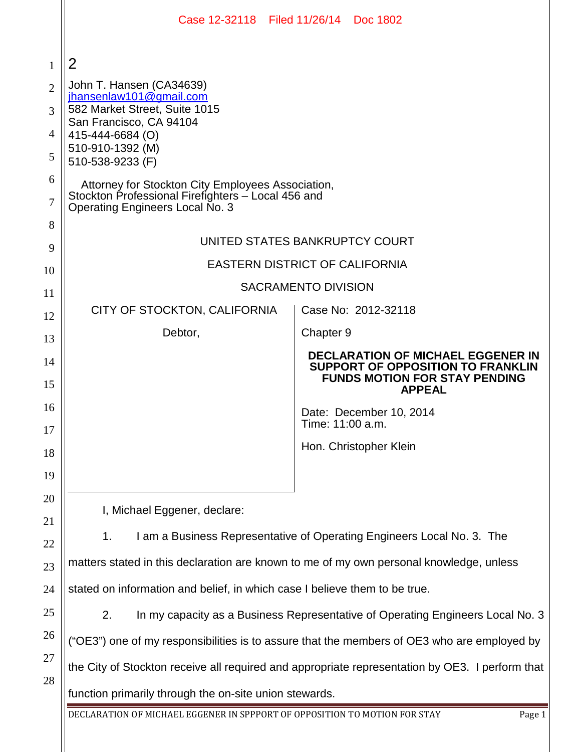|                | Case 12-32118 Filed 11/26/14 Doc 1802                                                                                                      |                                                                                                                                        |
|----------------|--------------------------------------------------------------------------------------------------------------------------------------------|----------------------------------------------------------------------------------------------------------------------------------------|
| 1              | 2                                                                                                                                          |                                                                                                                                        |
| $\overline{2}$ | John T. Hansen (CA34639)                                                                                                                   |                                                                                                                                        |
| 3              | jhansenlaw101@gmail.com<br>582 Market Street, Suite 1015                                                                                   |                                                                                                                                        |
| 4              | San Francisco, CA 94104<br>415-444-6684 (O)                                                                                                |                                                                                                                                        |
| 5              | 510-910-1392 (M)<br>510-538-9233 (F)                                                                                                       |                                                                                                                                        |
| 6<br>7         | Attorney for Stockton City Employees Association,<br>Stockton Professional Firefighters - Local 456 and<br>Operating Engineers Local No. 3 |                                                                                                                                        |
| 8              |                                                                                                                                            |                                                                                                                                        |
| 9              | UNITED STATES BANKRUPTCY COURT                                                                                                             |                                                                                                                                        |
| 10             | <b>EASTERN DISTRICT OF CALIFORNIA</b>                                                                                                      |                                                                                                                                        |
| 11             | <b>SACRAMENTO DIVISION</b>                                                                                                                 |                                                                                                                                        |
| 12             | CITY OF STOCKTON, CALIFORNIA                                                                                                               | Case No: 2012-32118                                                                                                                    |
| 13             | Debtor,                                                                                                                                    | Chapter 9                                                                                                                              |
| 14<br>15       |                                                                                                                                            | <b>DECLARATION OF MICHAEL EGGENER IN</b><br>SUPPORT OF OPPOSITION TO FRANKLIN<br><b>FUNDS MOTION FOR STAY PENDING</b><br><b>APPEAL</b> |
| 16             |                                                                                                                                            | Date: December 10, 2014                                                                                                                |
| 17             |                                                                                                                                            | Time: 11:00 a.m.                                                                                                                       |
| 18             |                                                                                                                                            | Hon. Christopher Klein                                                                                                                 |
| 19             |                                                                                                                                            |                                                                                                                                        |
| 20             | I, Michael Eggener, declare:                                                                                                               |                                                                                                                                        |
| 21             |                                                                                                                                            |                                                                                                                                        |
| 22             | 1.<br>I am a Business Representative of Operating Engineers Local No. 3. The                                                               |                                                                                                                                        |
| 23             | matters stated in this declaration are known to me of my own personal knowledge, unless                                                    |                                                                                                                                        |
| 24             | stated on information and belief, in which case I believe them to be true.                                                                 |                                                                                                                                        |
| 25             | 2.<br>In my capacity as a Business Representative of Operating Engineers Local No. 3                                                       |                                                                                                                                        |
| 26             | ("OE3") one of my responsibilities is to assure that the members of OE3 who are employed by                                                |                                                                                                                                        |
| 27             | the City of Stockton receive all required and appropriate representation by OE3. I perform that                                            |                                                                                                                                        |
| 28             | function primarily through the on-site union stewards.                                                                                     |                                                                                                                                        |
|                | DECLARATION OF MICHAEL EGGENER IN SPPPORT OF OPPOSITION TO MOTION FOR STAY<br>Page 1                                                       |                                                                                                                                        |